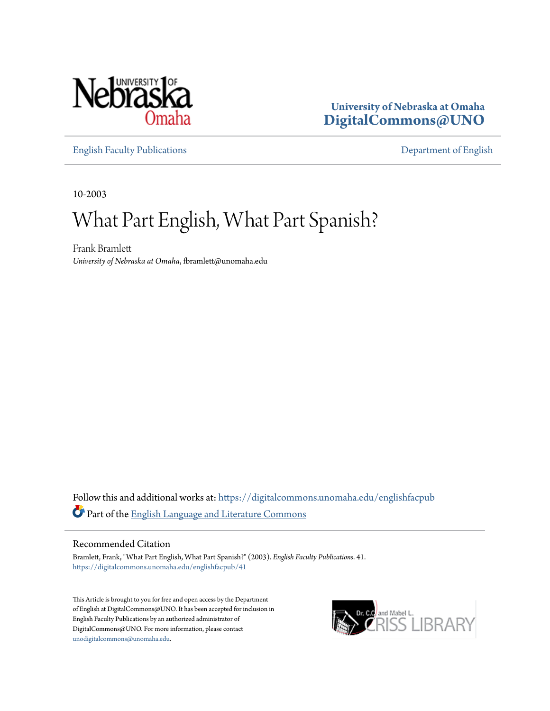

**University of Nebraska at Omaha [DigitalCommons@UNO](https://digitalcommons.unomaha.edu?utm_source=digitalcommons.unomaha.edu%2Fenglishfacpub%2F41&utm_medium=PDF&utm_campaign=PDFCoverPages)**

[English Faculty Publications](https://digitalcommons.unomaha.edu/englishfacpub?utm_source=digitalcommons.unomaha.edu%2Fenglishfacpub%2F41&utm_medium=PDF&utm_campaign=PDFCoverPages) [Department of English](https://digitalcommons.unomaha.edu/english?utm_source=digitalcommons.unomaha.edu%2Fenglishfacpub%2F41&utm_medium=PDF&utm_campaign=PDFCoverPages)

10-2003

## What Part English, What Part Spanish?

Frank Bramlett *University of Nebraska at Omaha*, fbramlett@unomaha.edu

Follow this and additional works at: [https://digitalcommons.unomaha.edu/englishfacpub](https://digitalcommons.unomaha.edu/englishfacpub?utm_source=digitalcommons.unomaha.edu%2Fenglishfacpub%2F41&utm_medium=PDF&utm_campaign=PDFCoverPages) Part of the [English Language and Literature Commons](http://network.bepress.com/hgg/discipline/455?utm_source=digitalcommons.unomaha.edu%2Fenglishfacpub%2F41&utm_medium=PDF&utm_campaign=PDFCoverPages)

## Recommended Citation

Bramlett, Frank, "What Part English, What Part Spanish?" (2003). *English Faculty Publications*. 41. [https://digitalcommons.unomaha.edu/englishfacpub/41](https://digitalcommons.unomaha.edu/englishfacpub/41?utm_source=digitalcommons.unomaha.edu%2Fenglishfacpub%2F41&utm_medium=PDF&utm_campaign=PDFCoverPages)

This Article is brought to you for free and open access by the Department of English at DigitalCommons@UNO. It has been accepted for inclusion in English Faculty Publications by an authorized administrator of DigitalCommons@UNO. For more information, please contact [unodigitalcommons@unomaha.edu](mailto:unodigitalcommons@unomaha.edu).